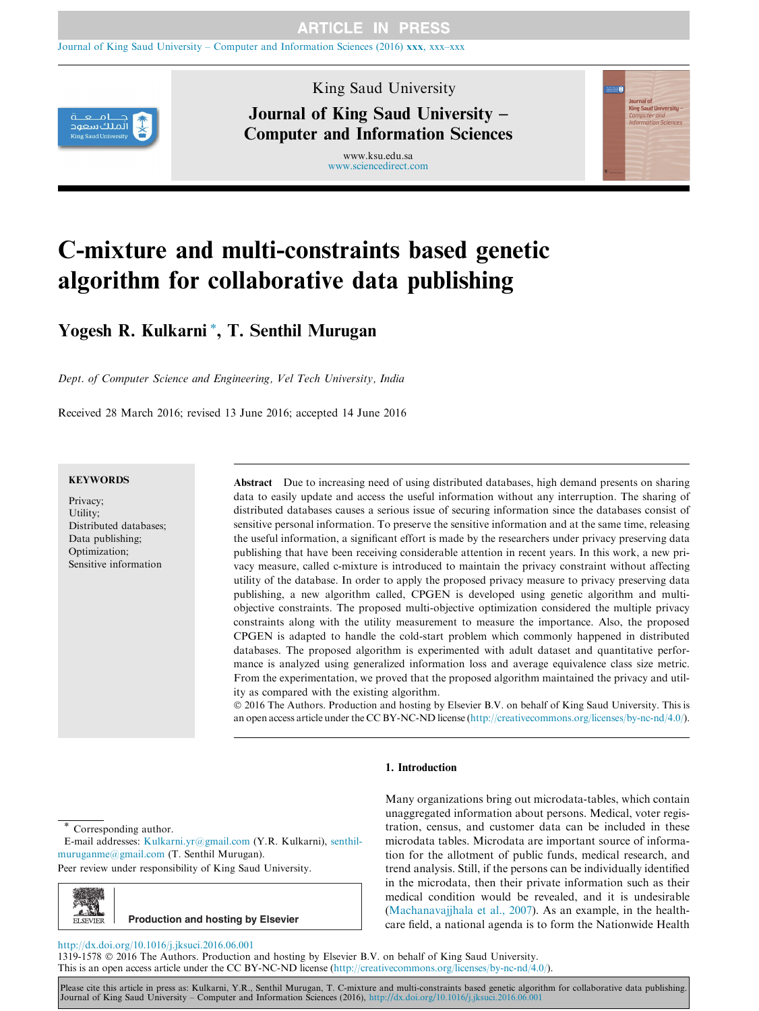[Journal of King Saud University – Computer and Information Sciences \(2016\)](http://dx.doi.org/10.1016/j.jksuci.2016.06.001) xxx, xxx–[xxx](http://dx.doi.org/10.1016/j.jksuci.2016.06.001)



King Saud University Journal of King Saud University – Computer and Information Sciences

> www.ksu.edu.sa [www.sciencedirect.com](http://www.sciencedirect.com/science/journal/13191578)

# C-mixture and multi-constraints based genetic algorithm for collaborative data publishing

Yogesh R. Kulkarni \*, T. Senthil Murugan

Dept. of Computer Science and Engineering, Vel Tech University, India

Received 28 March 2016; revised 13 June 2016; accepted 14 June 2016

## **KEYWORDS**

Privacy; Utility; Distributed databases; Data publishing; Optimization; Sensitive information

Abstract Due to increasing need of using distributed databases, high demand presents on sharing data to easily update and access the useful information without any interruption. The sharing of distributed databases causes a serious issue of securing information since the databases consist of sensitive personal information. To preserve the sensitive information and at the same time, releasing the useful information, a significant effort is made by the researchers under privacy preserving data publishing that have been receiving considerable attention in recent years. In this work, a new privacy measure, called c-mixture is introduced to maintain the privacy constraint without affecting utility of the database. In order to apply the proposed privacy measure to privacy preserving data publishing, a new algorithm called, CPGEN is developed using genetic algorithm and multiobjective constraints. The proposed multi-objective optimization considered the multiple privacy constraints along with the utility measurement to measure the importance. Also, the proposed CPGEN is adapted to handle the cold-start problem which commonly happened in distributed databases. The proposed algorithm is experimented with adult dataset and quantitative performance is analyzed using generalized information loss and average equivalence class size metric. From the experimentation, we proved that the proposed algorithm maintained the privacy and utility as compared with the existing algorithm.

 2016 The Authors. Production and hosting by Elsevier B.V. on behalf of King Saud University. This is an open access article under the CC BY-NC-ND license [\(http://creativecommons.org/licenses/by-nc-nd/4.0/\)](http://creativecommons.org/licenses/by-nc-nd/4.0/).

### 1. Introduction

Corresponding author.

E-mail addresses: [Kulkarni.yr@gmail.com](mailto:Kulkarni.yr@gmail.com) (Y.R. Kulkarni), [senthil](mailto:senthilmuruganme@gmail.com)[muruganme@gmail.com](mailto:senthilmuruganme@gmail.com) (T. Senthil Murugan).

Peer review under responsibility of King Saud University.



#### <http://dx.doi.org/10.1016/j.jksuci.2016.06.001>

1319-1578  $\odot$  2016 The Authors. Production and hosting by Elsevier B.V. on behalf of King Saud University.

This is an open access article under the CC BY-NC-ND license [\(http://creativecommons.org/licenses/by-nc-nd/4.0/](http://creativecommons.org/licenses/by-nc-nd/4.0/)).

Please cite this article in press as: Kulkarni, Y.R., Senthil Murugan, T. C-mixture and multi-constraints based genetic algorithm for collaborative data publishing. Journal of King Saud University – Computer and Information Sciences (2016), <http://dx.doi.org/10.1016/j.jksuci.2016.06.001>

Many organizations bring out microdata-tables, which contain unaggregated information about persons. Medical, voter registration, census, and customer data can be included in these microdata tables. Microdata are important source of information for the allotment of public funds, medical research, and trend analysis. Still, if the persons can be individually identified in the microdata, then their private information such as their medical condition would be revealed, and it is undesirable [\(Machanavajjhala et al., 2007\)](#page-8-0). As an example, in the healthcare field, a national agenda is to form the Nationwide Health

**Journal of<br>King Saud University -**<br>Computer and<br>Information Sciences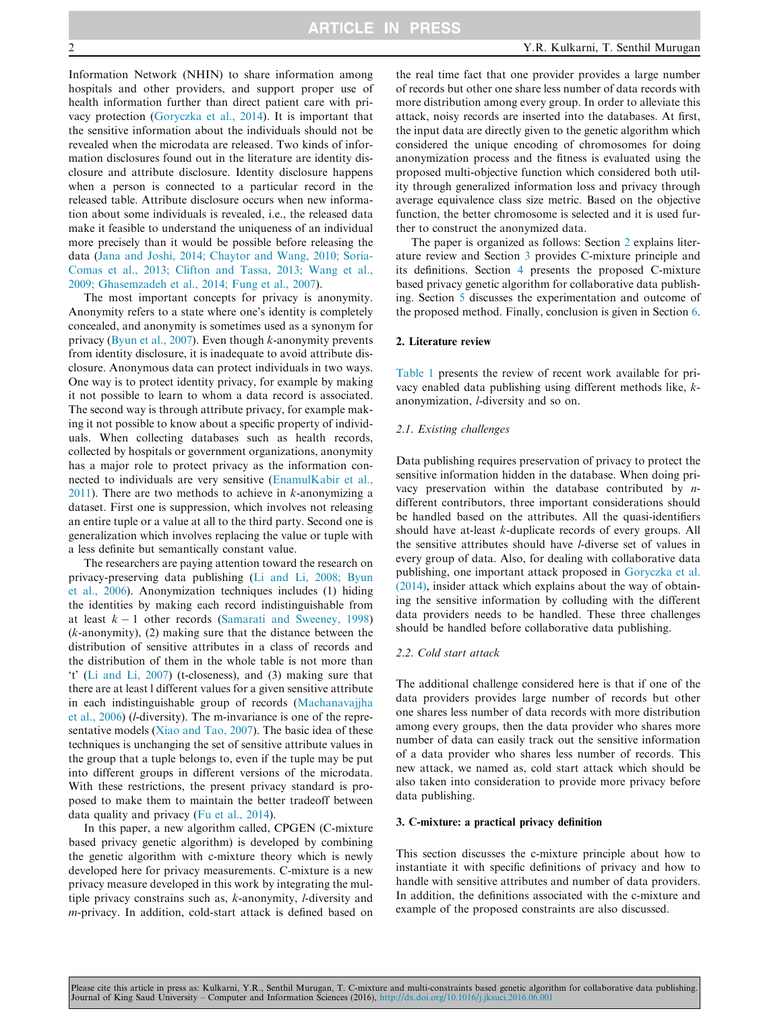Information Network (NHIN) to share information among hospitals and other providers, and support proper use of health information further than direct patient care with privacy protection [\(Goryczka et al., 2014](#page-8-0)). It is important that the sensitive information about the individuals should not be revealed when the microdata are released. Two kinds of information disclosures found out in the literature are identity disclosure and attribute disclosure. Identity disclosure happens when a person is connected to a particular record in the released table. Attribute disclosure occurs when new information about some individuals is revealed, i.e., the released data make it feasible to understand the uniqueness of an individual more precisely than it would be possible before releasing the data ([Jana and Joshi, 2014; Chaytor and Wang, 2010; Soria-](#page-8-0)[Comas et al., 2013; Clifton and Tassa, 2013; Wang et al.,](#page-8-0) [2009; Ghasemzadeh et al., 2014; Fung et al., 2007\)](#page-8-0).

The most important concepts for privacy is anonymity. Anonymity refers to a state where one's identity is completely concealed, and anonymity is sometimes used as a synonym for privacy [\(Byun et al., 2007\)](#page-8-0). Even though k-anonymity prevents from identity disclosure, it is inadequate to avoid attribute disclosure. Anonymous data can protect individuals in two ways. One way is to protect identity privacy, for example by making it not possible to learn to whom a data record is associated. The second way is through attribute privacy, for example making it not possible to know about a specific property of individuals. When collecting databases such as health records, collected by hospitals or government organizations, anonymity has a major role to protect privacy as the information connected to individuals are very sensitive ([EnamulKabir et al.,](#page-8-0)  $2011$ ). There are two methods to achieve in *k*-anonymizing a dataset. First one is suppression, which involves not releasing an entire tuple or a value at all to the third party. Second one is generalization which involves replacing the value or tuple with a less definite but semantically constant value.

The researchers are paying attention toward the research on privacy-preserving data publishing ([Li and Li, 2008; Byun](#page-8-0) [et al., 2006](#page-8-0)). Anonymization techniques includes (1) hiding the identities by making each record indistinguishable from at least  $k - 1$  other records ([Samarati and Sweeney, 1998\)](#page-9-0)  $(k$ -anonymity),  $(2)$  making sure that the distance between the distribution of sensitive attributes in a class of records and the distribution of them in the whole table is not more than 't' ([Li and Li, 2007](#page-8-0)) (t-closeness), and (3) making sure that there are at least l different values for a given sensitive attribute in each indistinguishable group of records ([Machanavajjha](#page-8-0) [et al., 2006\)](#page-8-0) (l-diversity). The m-invariance is one of the repre-sentative models [\(Xiao and Tao, 2007](#page-9-0)). The basic idea of these techniques is unchanging the set of sensitive attribute values in the group that a tuple belongs to, even if the tuple may be put into different groups in different versions of the microdata. With these restrictions, the present privacy standard is proposed to make them to maintain the better tradeoff between data quality and privacy ([Fu et al., 2014](#page-8-0)).

In this paper, a new algorithm called, CPGEN (C-mixture based privacy genetic algorithm) is developed by combining the genetic algorithm with c-mixture theory which is newly developed here for privacy measurements. C-mixture is a new privacy measure developed in this work by integrating the multiple privacy constrains such as, k-anonymity, l-diversity and m-privacy. In addition, cold-start attack is defined based on

the real time fact that one provider provides a large number of records but other one share less number of data records with more distribution among every group. In order to alleviate this attack, noisy records are inserted into the databases. At first, the input data are directly given to the genetic algorithm which considered the unique encoding of chromosomes for doing anonymization process and the fitness is evaluated using the proposed multi-objective function which considered both utility through generalized information loss and privacy through average equivalence class size metric. Based on the objective function, the better chromosome is selected and it is used further to construct the anonymized data.

The paper is organized as follows: Section 2 explains literature review and Section 3 provides C-mixture principle and its definitions. Section [4](#page-2-0) presents the proposed C-mixture based privacy genetic algorithm for collaborative data publishing. Section [5](#page-5-0) discusses the experimentation and outcome of the proposed method. Finally, conclusion is given in Section [6](#page-8-0).

## 2. Literature review

[Table 1](#page-2-0) presents the review of recent work available for privacy enabled data publishing using different methods like, kanonymization, l-diversity and so on.

## 2.1. Existing challenges

Data publishing requires preservation of privacy to protect the sensitive information hidden in the database. When doing privacy preservation within the database contributed by  $n$ different contributors, three important considerations should be handled based on the attributes. All the quasi-identifiers should have at-least k-duplicate records of every groups. All the sensitive attributes should have l-diverse set of values in every group of data. Also, for dealing with collaborative data publishing, one important attack proposed in [Goryczka et al.](#page-8-0) [\(2014\),](#page-8-0) insider attack which explains about the way of obtaining the sensitive information by colluding with the different data providers needs to be handled. These three challenges should be handled before collaborative data publishing.

## 2.2. Cold start attack

The additional challenge considered here is that if one of the data providers provides large number of records but other one shares less number of data records with more distribution among every groups, then the data provider who shares more number of data can easily track out the sensitive information of a data provider who shares less number of records. This new attack, we named as, cold start attack which should be also taken into consideration to provide more privacy before data publishing.

### 3. C-mixture: a practical privacy definition

This section discusses the c-mixture principle about how to instantiate it with specific definitions of privacy and how to handle with sensitive attributes and number of data providers. In addition, the definitions associated with the c-mixture and example of the proposed constraints are also discussed.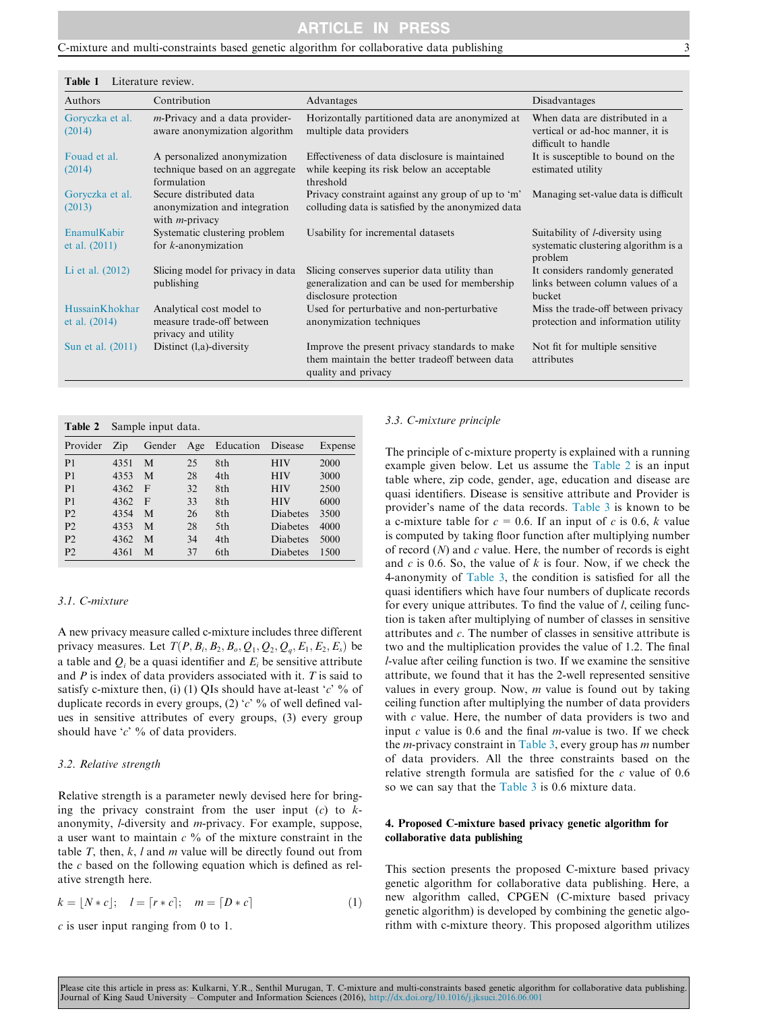# **ARTICLE IN PRESS**

## <span id="page-2-0"></span>C-mixture and multi-constraints based genetic algorithm for collaborative data publishing 3

| Table 1<br>Authors                | Literature review.<br>Contribution                                            | Advantages                                                                                                             | Disadvantages                                                                               |
|-----------------------------------|-------------------------------------------------------------------------------|------------------------------------------------------------------------------------------------------------------------|---------------------------------------------------------------------------------------------|
|                                   |                                                                               |                                                                                                                        |                                                                                             |
| Goryczka et al.<br>(2014)         | $m$ -Privacy and a data provider-<br>aware anonymization algorithm            | Horizontally partitioned data are anonymized at<br>multiple data providers                                             | When data are distributed in a<br>vertical or ad-hoc manner, it is<br>difficult to handle   |
| Fouad et al.                      | A personalized anonymization                                                  | Effectiveness of data disclosure is maintained                                                                         | It is susceptible to bound on the                                                           |
| (2014)                            | technique based on an aggregate<br>formulation                                | while keeping its risk below an acceptable<br>threshold                                                                | estimated utility                                                                           |
| Goryczka et al.<br>(2013)         | Secure distributed data<br>anonymization and integration<br>with $m$ -privacy | Privacy constraint against any group of up to 'm'<br>colluding data is satisfied by the anonymized data                | Managing set-value data is difficult                                                        |
| EnamulKabir<br>et al. $(2011)$    | Systematic clustering problem<br>for $k$ -anonymization                       | Usability for incremental datasets                                                                                     | Suitability of <i>l</i> -diversity using<br>systematic clustering algorithm is a<br>problem |
| Li et al. $(2012)$                | Slicing model for privacy in data<br>publishing                               | Slicing conserves superior data utility than<br>generalization and can be used for membership<br>disclosure protection | It considers randomly generated<br>links between column values of a<br>bucket               |
| HussainKhokhar<br>et al. $(2014)$ | Analytical cost model to<br>measure trade-off between<br>privacy and utility  | Used for perturbative and non-perturbative<br>anonymization techniques                                                 | Miss the trade-off between privacy<br>protection and information utility                    |
| Sun et al. (2011)                 | Distinct (1,a)-diversity                                                      | Improve the present privacy standards to make<br>them maintain the better tradeoff between data<br>quality and privacy | Not fit for multiple sensitive<br>attributes                                                |

Table 2 Sample input data.

| Provider       | Zip  | Gender | Age | Education | Disease         | Expense |
|----------------|------|--------|-----|-----------|-----------------|---------|
| P <sub>1</sub> | 4351 | M      | 25  | 8th       | <b>HIV</b>      | 2000    |
| P <sub>1</sub> | 4353 | M      | 28  | 4th       | <b>HIV</b>      | 3000    |
| P <sub>1</sub> | 4362 | F      | 32  | 8th       | <b>HIV</b>      | 2500    |
| P <sub>1</sub> | 4362 | F      | 33  | 8th       | <b>HIV</b>      | 6000    |
| P <sub>2</sub> | 4354 | M      | 26  | 8th       | <b>Diabetes</b> | 3500    |
| P <sub>2</sub> | 4353 | M      | 28  | 5th       | <b>Diabetes</b> | 4000    |
| P <sub>2</sub> | 4362 | M      | 34  | 4th       | <b>Diabetes</b> | 5000    |
| P <sub>2</sub> | 4361 | M      | 37  | 6th       | <b>Diabetes</b> | 1500    |

## 3.1. C-mixture

A new privacy measure called c-mixture includes three different privacy measures. Let  $T(P, B_i, B_2, B_o, Q_1, Q_2, Q_a, E_1, E_2, E_s)$  be a table and  $Q_i$  be a quasi identifier and  $E_i$  be sensitive attribute and  $P$  is index of data providers associated with it.  $T$  is said to satisfy c-mixture then, (i) (1) QIs should have at-least  $c^2$  % of duplicate records in every groups,  $(2)$  'c' % of well defined values in sensitive attributes of every groups, (3) every group should have  $c'$  % of data providers.

## 3.2. Relative strength

Relative strength is a parameter newly devised here for bringing the privacy constraint from the user input  $(c)$  to  $k$ anonymity, l-diversity and m-privacy. For example, suppose, a user want to maintain  $c \frac{9}{6}$  of the mixture constraint in the table  $T$ , then,  $k$ ,  $l$  and  $m$  value will be directly found out from the  $c$  based on the following equation which is defined as relative strength here.

$$
k = \lfloor N * c \rfloor; \quad l = \lceil r * c \rceil; \quad m = \lceil D * c \rceil \tag{1}
$$

 $c$  is user input ranging from 0 to 1.

### 3.3. C-mixture principle

The principle of c-mixture property is explained with a running example given below. Let us assume the Table 2 is an input table where, zip code, gender, age, education and disease are quasi identifiers. Disease is sensitive attribute and Provider is provider's name of the data records. [Table 3](#page-3-0) is known to be a c-mixture table for  $c = 0.6$ . If an input of c is 0.6, k value is computed by taking floor function after multiplying number of record  $(N)$  and c value. Here, the number of records is eight and c is 0.6. So, the value of k is four. Now, if we check the 4-anonymity of [Table 3](#page-3-0), the condition is satisfied for all the quasi identifiers which have four numbers of duplicate records for every unique attributes. To find the value of  $l$ , ceiling function is taken after multiplying of number of classes in sensitive attributes and c. The number of classes in sensitive attribute is two and the multiplication provides the value of 1.2. The final l-value after ceiling function is two. If we examine the sensitive attribute, we found that it has the 2-well represented sensitive values in every group. Now,  $m$  value is found out by taking ceiling function after multiplying the number of data providers with  $c$  value. Here, the number of data providers is two and input  $c$  value is 0.6 and the final  $m$ -value is two. If we check the *m*-privacy constraint in [Table 3,](#page-3-0) every group has *m* number of data providers. All the three constraints based on the relative strength formula are satisfied for the  $c$  value of 0.6 so we can say that the [Table 3](#page-3-0) is 0.6 mixture data.

## 4. Proposed C-mixture based privacy genetic algorithm for collaborative data publishing

This section presents the proposed C-mixture based privacy genetic algorithm for collaborative data publishing. Here, a new algorithm called, CPGEN (C-mixture based privacy genetic algorithm) is developed by combining the genetic algorithm with c-mixture theory. This proposed algorithm utilizes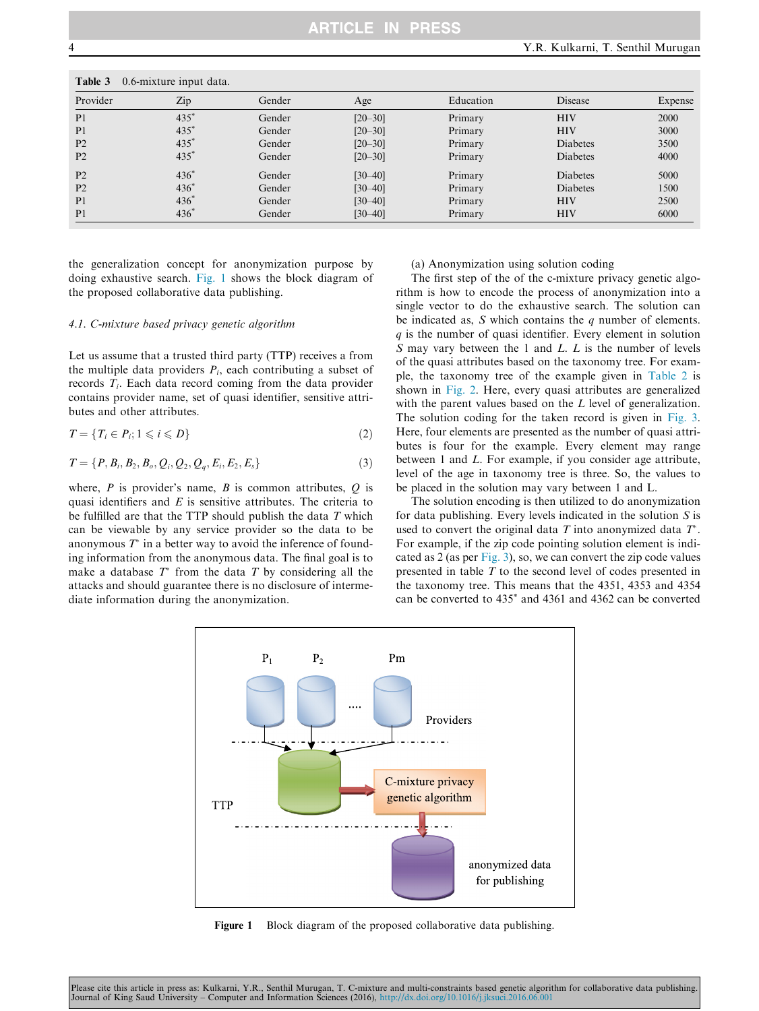| Table 3        | 0.6-mixture input data. |        |             |           |            |         |  |  |  |
|----------------|-------------------------|--------|-------------|-----------|------------|---------|--|--|--|
| Provider       | Zip                     | Gender | Age         | Education | Disease    | Expense |  |  |  |
| P <sub>1</sub> | 435"                    | Gender | $[20 - 30]$ | Primary   | <b>HIV</b> | 2000    |  |  |  |
| P <sub>1</sub> | $435*$                  | Gender | $[20 - 30]$ | Primary   | <b>HIV</b> | 3000    |  |  |  |
| P <sub>2</sub> | $435$ <sup>*</sup>      | Gender | $[20 - 30]$ | Primary   | Diabetes   | 3500    |  |  |  |
| P <sub>2</sub> | $435*$                  | Gender | $[20 - 30]$ | Primary   | Diabetes   | 4000    |  |  |  |
| P <sub>2</sub> | $436*$                  | Gender | $[30 - 40]$ | Primary   | Diabetes   | 5000    |  |  |  |
| P <sub>2</sub> | $436*$                  | Gender | $[30 - 40]$ | Primary   | Diabetes   | 1500    |  |  |  |
| P <sub>1</sub> | $436*$                  | Gender | $[30 - 40]$ | Primary   | <b>HIV</b> | 2500    |  |  |  |
| P <sub>1</sub> | $436*$                  | Gender | $[30 - 40]$ | Primary   | <b>HIV</b> | 6000    |  |  |  |

Table 3 0.6-mixture input data.

the generalization concept for anonymization purpose by doing exhaustive search. Fig. 1 shows the block diagram of the proposed collaborative data publishing.

## 4.1. C-mixture based privacy genetic algorithm

Let us assume that a trusted third party (TTP) receives a from the multiple data providers  $P_i$ , each contributing a subset of records  $T_i$ . Each data record coming from the data provider contains provider name, set of quasi identifier, sensitive attributes and other attributes.

$$
T = \{T_i \in P_i; 1 \leqslant i \leqslant D\}
$$
\n<sup>(2)</sup>

$$
T = \{P, B_i, B_2, B_o, Q_i, Q_2, Q_q, E_i, E_2, E_s\}
$$
\n(3)

where,  $P$  is provider's name,  $B$  is common attributes,  $Q$  is quasi identifiers and  $E$  is sensitive attributes. The criteria to be fulfilled are that the TTP should publish the data  $T$  which can be viewable by any service provider so the data to be anonymous  $T^*$  in a better way to avoid the inference of founding information from the anonymous data. The final goal is to make a database  $T^*$  from the data  $T$  by considering all the attacks and should guarantee there is no disclosure of intermediate information during the anonymization.

## (a) Anonymization using solution coding

The first step of the of the c-mixture privacy genetic algorithm is how to encode the process of anonymization into a single vector to do the exhaustive search. The solution can be indicated as,  $S$  which contains the  $q$  number of elements.  $q$  is the number of quasi identifier. Every element in solution  $S$  may vary between the 1 and  $L$ .  $L$  is the number of levels of the quasi attributes based on the taxonomy tree. For example, the taxonomy tree of the example given in [Table 2](#page-2-0) is shown in [Fig. 2](#page-4-0). Here, every quasi attributes are generalized with the parent values based on the L level of generalization. The solution coding for the taken record is given in [Fig. 3](#page-4-0). Here, four elements are presented as the number of quasi attributes is four for the example. Every element may range between 1 and L. For example, if you consider age attribute, level of the age in taxonomy tree is three. So, the values to be placed in the solution may vary between 1 and L.

The solution encoding is then utilized to do anonymization for data publishing. Every levels indicated in the solution  $S$  is used to convert the original data  $T$  into anonymized data  $T^*$ . For example, if the zip code pointing solution element is indicated as 2 (as per [Fig. 3](#page-4-0)), so, we can convert the zip code values presented in table T to the second level of codes presented in the taxonomy tree. This means that the 4351, 4353 and 4354 can be converted to 435\* and 4361 and 4362 can be converted



Figure 1 Block diagram of the proposed collaborative data publishing.

<span id="page-3-0"></span>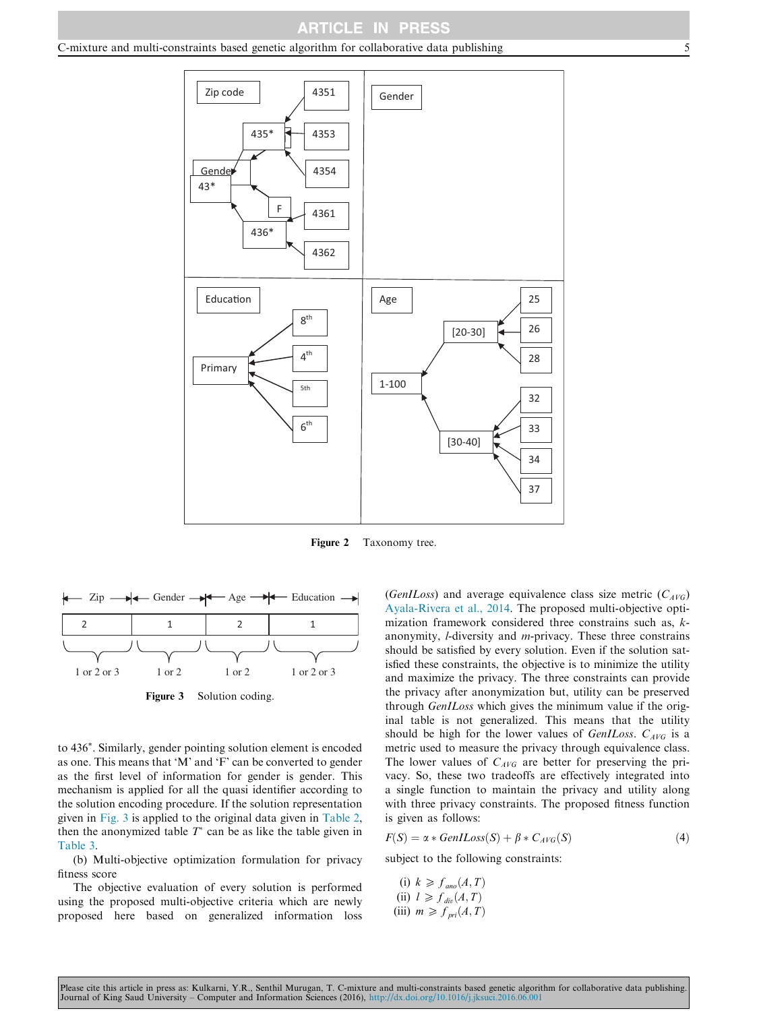## **ARTICLE IN PRESS**

## <span id="page-4-0"></span>C-mixture and multi-constraints based genetic algorithm for collaborative data publishing 5



Figure 2 Taxonomy tree.



Figure 3 Solution coding.

to 436\*. Similarly, gender pointing solution element is encoded as one. This means that 'M' and 'F' can be converted to gender as the first level of information for gender is gender. This mechanism is applied for all the quasi identifier according to the solution encoding procedure. If the solution representation given in Fig. 3 is applied to the original data given in [Table 2](#page-2-0), then the anonymized table  $T^*$  can be as like the table given in [Table 3.](#page-3-0)

(b) Multi-objective optimization formulation for privacy fitness score

The objective evaluation of every solution is performed using the proposed multi-objective criteria which are newly proposed here based on generalized information loss (GenILoss) and average equivalence class size metric  $(C_{AVG})$ [Ayala-Rivera et al., 2014](#page-8-0). The proposed multi-objective optimization framework considered three constrains such as, kanonymity, l-diversity and m-privacy. These three constrains should be satisfied by every solution. Even if the solution satisfied these constraints, the objective is to minimize the utility and maximize the privacy. The three constraints can provide the privacy after anonymization but, utility can be preserved through GenILoss which gives the minimum value if the original table is not generalized. This means that the utility should be high for the lower values of GenILoss.  $C_{AVG}$  is a metric used to measure the privacy through equivalence class. The lower values of  $C_{AVG}$  are better for preserving the privacy. So, these two tradeoffs are effectively integrated into a single function to maintain the privacy and utility along with three privacy constraints. The proposed fitness function is given as follows:

$$
F(S) = \alpha * GenILoss(S) + \beta * C_{AVG}(S)
$$
\n(4)

subject to the following constraints:

(i) 
$$
k \ge f_{ano}(A, T)
$$
  
\n(ii)  $l \ge f_{div}(A, T)$   
\n(iii)  $m \ge f_{pri}(A, T)$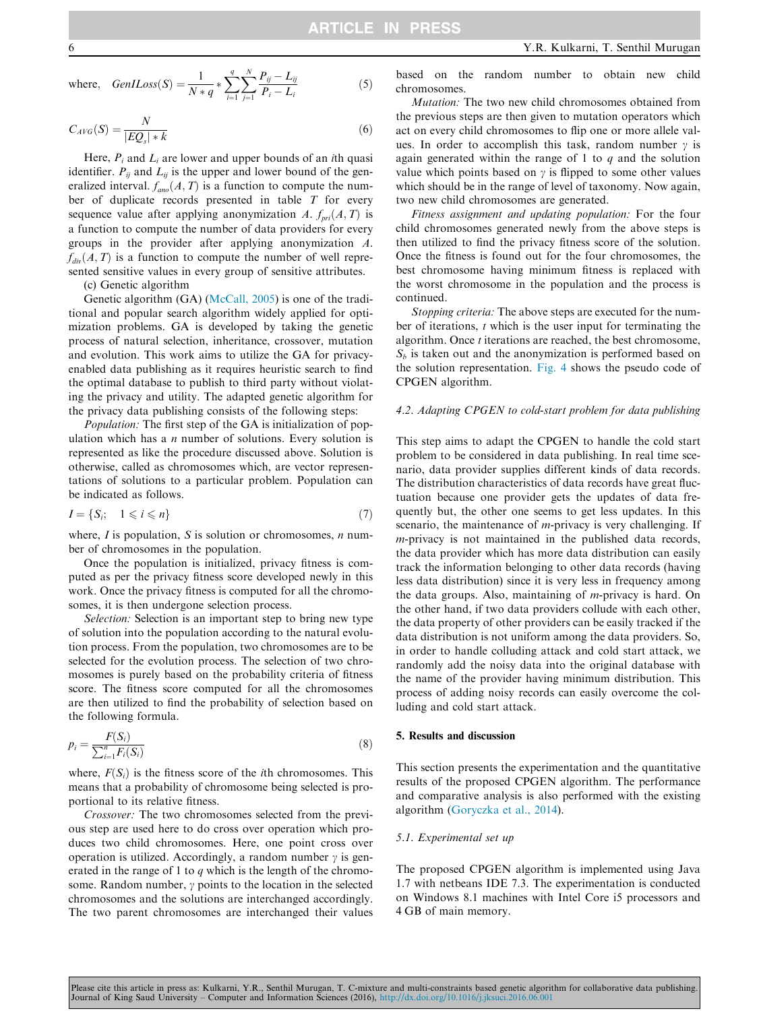<span id="page-5-0"></span>where, 
$$
GenILoss(S) = \frac{1}{N * q} * \sum_{i=1}^{q} \sum_{j=1}^{N} \frac{P_{ij} - L_{ij}}{P_i - L_i}
$$
 (5)

$$
C_{AVG}(S) = \frac{N}{|EQ_s| * k} \tag{6}
$$

Here,  $P_i$  and  $L_i$  are lower and upper bounds of an *i*th quasi identifier.  $P_{ij}$  and  $L_{ij}$  is the upper and lower bound of the generalized interval.  $f_{ano}(A, T)$  is a function to compute the number of duplicate records presented in table T for every sequence value after applying anonymization A.  $f_{pri}(A, T)$  is a function to compute the number of data providers for every groups in the provider after applying anonymization A.  $f_{div}(A, T)$  is a function to compute the number of well represented sensitive values in every group of sensitive attributes.

(c) Genetic algorithm

Genetic algorithm (GA) [\(McCall, 2005\)](#page-9-0) is one of the traditional and popular search algorithm widely applied for optimization problems. GA is developed by taking the genetic process of natural selection, inheritance, crossover, mutation and evolution. This work aims to utilize the GA for privacyenabled data publishing as it requires heuristic search to find the optimal database to publish to third party without violating the privacy and utility. The adapted genetic algorithm for the privacy data publishing consists of the following steps:

Population: The first step of the GA is initialization of population which has a  $n$  number of solutions. Every solution is represented as like the procedure discussed above. Solution is otherwise, called as chromosomes which, are vector representations of solutions to a particular problem. Population can be indicated as follows.

$$
I = \{S_i; \quad 1 \leqslant i \leqslant n\} \tag{7}
$$

where,  $I$  is population,  $S$  is solution or chromosomes,  $n$  number of chromosomes in the population.

Once the population is initialized, privacy fitness is computed as per the privacy fitness score developed newly in this work. Once the privacy fitness is computed for all the chromosomes, it is then undergone selection process.

Selection: Selection is an important step to bring new type of solution into the population according to the natural evolution process. From the population, two chromosomes are to be selected for the evolution process. The selection of two chromosomes is purely based on the probability criteria of fitness score. The fitness score computed for all the chromosomes are then utilized to find the probability of selection based on the following formula.

$$
p_i = \frac{F(S_i)}{\sum_{i=1}^n F_i(S_i)}\tag{8}
$$

where,  $F(S_i)$  is the fitness score of the *i*th chromosomes. This means that a probability of chromosome being selected is proportional to its relative fitness.

Crossover: The two chromosomes selected from the previous step are used here to do cross over operation which produces two child chromosomes. Here, one point cross over operation is utilized. Accordingly, a random number  $\gamma$  is generated in the range of 1 to  $q$  which is the length of the chromosome. Random number,  $\gamma$  points to the location in the selected chromosomes and the solutions are interchanged accordingly. The two parent chromosomes are interchanged their values

based on the random number to obtain new child chromosomes.

Mutation: The two new child chromosomes obtained from the previous steps are then given to mutation operators which act on every child chromosomes to flip one or more allele values. In order to accomplish this task, random number  $\gamma$  is again generated within the range of 1 to  $q$  and the solution value which points based on  $\gamma$  is flipped to some other values which should be in the range of level of taxonomy. Now again, two new child chromosomes are generated.

Fitness assignment and updating population: For the four child chromosomes generated newly from the above steps is then utilized to find the privacy fitness score of the solution. Once the fitness is found out for the four chromosomes, the best chromosome having minimum fitness is replaced with the worst chromosome in the population and the process is continued.

Stopping criteria: The above steps are executed for the number of iterations, t which is the user input for terminating the algorithm. Once  $t$  iterations are reached, the best chromosome,  $S<sub>b</sub>$  is taken out and the anonymization is performed based on the solution representation. [Fig. 4](#page-6-0) shows the pseudo code of CPGEN algorithm.

## 4.2. Adapting CPGEN to cold-start problem for data publishing

This step aims to adapt the CPGEN to handle the cold start problem to be considered in data publishing. In real time scenario, data provider supplies different kinds of data records. The distribution characteristics of data records have great fluctuation because one provider gets the updates of data frequently but, the other one seems to get less updates. In this scenario, the maintenance of *m*-privacy is very challenging. If m-privacy is not maintained in the published data records, the data provider which has more data distribution can easily track the information belonging to other data records (having less data distribution) since it is very less in frequency among the data groups. Also, maintaining of m-privacy is hard. On the other hand, if two data providers collude with each other, the data property of other providers can be easily tracked if the data distribution is not uniform among the data providers. So, in order to handle colluding attack and cold start attack, we randomly add the noisy data into the original database with the name of the provider having minimum distribution. This process of adding noisy records can easily overcome the colluding and cold start attack.

## 5. Results and discussion

This section presents the experimentation and the quantitative results of the proposed CPGEN algorithm. The performance and comparative analysis is also performed with the existing algorithm [\(Goryczka et al., 2014](#page-8-0)).

## 5.1. Experimental set up

The proposed CPGEN algorithm is implemented using Java 1.7 with netbeans IDE 7.3. The experimentation is conducted on Windows 8.1 machines with Intel Core i5 processors and 4 GB of main memory.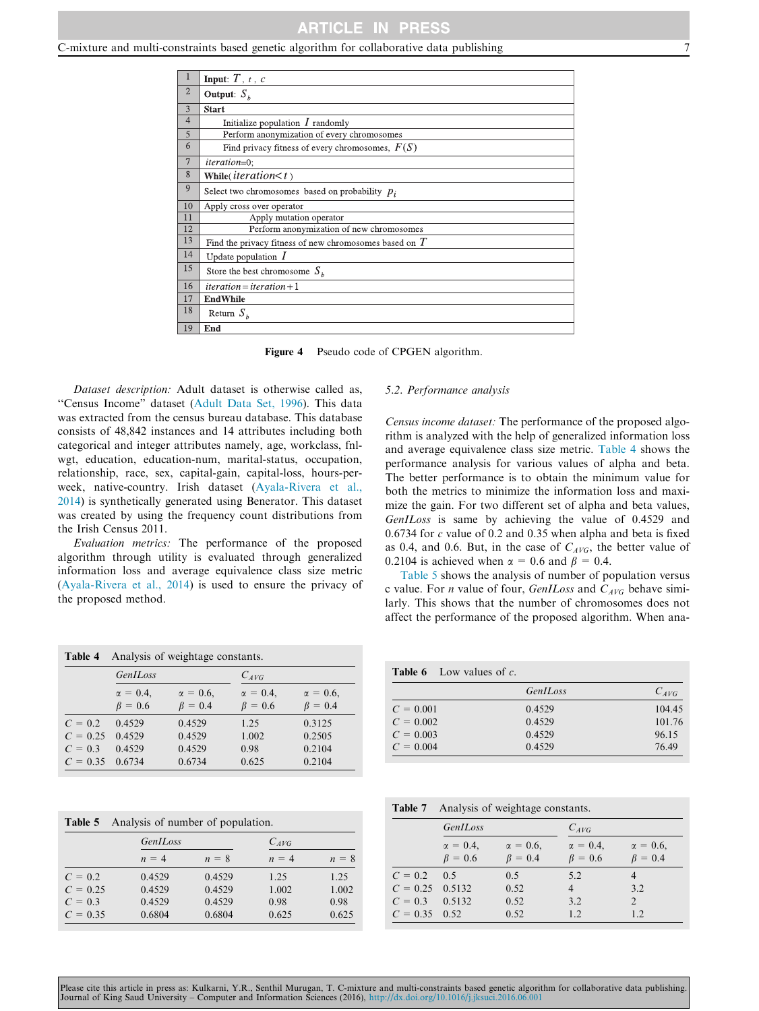## **ARTICLE IN PRESS**

## <span id="page-6-0"></span>C-mixture and multi-constraints based genetic algorithm for collaborative data publishing 7

| ı              | Input: $T$ , $t$ , $c$                                   |
|----------------|----------------------------------------------------------|
| $\overline{2}$ | Output: $S_h$                                            |
| 3              | <b>Start</b>                                             |
| 4              | Initialize population $I$ randomly                       |
| 5              | Perform anonymization of every chromosomes               |
| 6              | Find privacy fitness of every chromosomes, $F(S)$        |
| 7              | <i>iteration=0:</i>                                      |
| 8              | While( <i>iteration</i> $lt$ t)                          |
| 9              | Select two chromosomes based on probability $p_i$        |
| 10             | Apply cross over operator                                |
| 11             | Apply mutation operator                                  |
| 12             | Perform anonymization of new chromosomes                 |
| 13             | Find the privacy fitness of new chromosomes based on $T$ |
| 14             | Update population $\overline{I}$                         |
| 15             | Store the best chromosome $S_h$                          |
| 16             | $iteration = iteration + 1$                              |
| 17             | <b>EndWhile</b>                                          |
| 18             | Return $Sb$                                              |
| 19             | End                                                      |

Figure 4 Pseudo code of CPGEN algorithm.

Dataset description: Adult dataset is otherwise called as, ''Census Income" dataset [\(Adult Data Set, 1996\)](#page-8-0). This data was extracted from the census bureau database. This database consists of 48,842 instances and 14 attributes including both categorical and integer attributes namely, age, workclass, fnlwgt, education, education-num, marital-status, occupation, relationship, race, sex, capital-gain, capital-loss, hours-perweek, native-country. Irish dataset ([Ayala-Rivera et al.,](#page-8-0) [2014](#page-8-0)) is synthetically generated using Benerator. This dataset was created by using the frequency count distributions from the Irish Census 2011.

Evaluation metrics: The performance of the proposed algorithm through utility is evaluated through generalized information loss and average equivalence class size metric [\(Ayala-Rivera et al., 2014\)](#page-8-0) is used to ensure the privacy of the proposed method.

| Analysis of weightage constants.<br>Table 4 |                  |                  |                  |                  |  |  |
|---------------------------------------------|------------------|------------------|------------------|------------------|--|--|
|                                             | GenILoss         |                  | $C_{AVG}$        |                  |  |  |
|                                             | $\alpha = 0.4$ , | $\alpha = 0.6$ , | $\alpha = 0.4$ , | $\alpha = 0.6$ , |  |  |
|                                             | $\beta = 0.6$    | $\beta = 0.4$    | $\beta = 0.6$    | $\beta = 0.4$    |  |  |
| $C = 0.2$                                   | 0.4529           | 0.4529           | 1.25             | 0.3125           |  |  |
| $C = 0.25$                                  | 0.4529           | 0.4529           | 1.002            | 0.2505           |  |  |
| $C = 0.3$                                   | 0.4529           | 0.4529           | 0.98             | 0.2104           |  |  |
| $C = 0.35$                                  | 0.6734           | 0.6734           | 0.625            | 0.2104           |  |  |

| Table 5    | Analysis of number of population. |         |           |         |  |  |
|------------|-----------------------------------|---------|-----------|---------|--|--|
|            | GenILoss                          |         | $C_{AVG}$ |         |  |  |
|            | $n = 4$                           | $n = 8$ | $n = 4$   | $n = 8$ |  |  |
| $C = 0.2$  | 0.4529                            | 0.4529  | 1.25      | 1.25    |  |  |
| $C = 0.25$ | 0.4529                            | 0.4529  | 1.002     | 1.002   |  |  |
| $C = 0.3$  | 0.4529                            | 0.4529  | 0.98      | 0.98    |  |  |
| $C = 0.35$ | 0.6804                            | 0.6804  | 0.625     | 0.625   |  |  |

## 5.2. Performance analysis

Census income dataset: The performance of the proposed algorithm is analyzed with the help of generalized information loss and average equivalence class size metric. Table 4 shows the performance analysis for various values of alpha and beta. The better performance is to obtain the minimum value for both the metrics to minimize the information loss and maximize the gain. For two different set of alpha and beta values, GenILoss is same by achieving the value of 0.4529 and 0.6734 for  $c$  value of 0.2 and 0.35 when alpha and beta is fixed as 0.4, and 0.6. But, in the case of  $C_{AVG}$ , the better value of 0.2104 is achieved when  $\alpha = 0.6$  and  $\beta = 0.4$ .

Table 5 shows the analysis of number of population versus c value. For *n* value of four, *GenILoss* and  $C_{AVG}$  behave similarly. This shows that the number of chromosomes does not affect the performance of the proposed algorithm. When ana-

| <b>Table 6</b> Low values of c. |          |           |
|---------------------------------|----------|-----------|
|                                 | GenILoss | $C_{AVG}$ |
| $C = 0.001$                     | 0.4529   | 104.45    |
| $C = 0.002$                     | 0.4529   | 101.76    |
| $C = 0.003$                     | 0.4529   | 96.15     |
| $C = 0.004$                     | 0.4529   | 76.49     |

Table 7 Analysis of weightage constants.

|                       | GenILoss                          |                                   | $C_{AVG}$                         |                                   |  |
|-----------------------|-----------------------------------|-----------------------------------|-----------------------------------|-----------------------------------|--|
|                       | $\alpha = 0.4$ ,<br>$\beta = 0.6$ | $\alpha = 0.6$ ,<br>$\beta = 0.4$ | $\alpha = 0.4$ ,<br>$\beta = 0.6$ | $\alpha = 0.6$ ,<br>$\beta = 0.4$ |  |
| $C = 0.2$ 0.5         |                                   | 0.5                               | 5.2                               | 4                                 |  |
| $C = 0.25$ 0.5132     |                                   | 0.52                              | $\overline{4}$                    | 3.2                               |  |
| $C = 0.3$ 0.5132      |                                   | 0.52                              | 3.2                               | 2                                 |  |
| $C = 0.35 \quad 0.52$ |                                   | 0.52                              | 12                                | 1.2                               |  |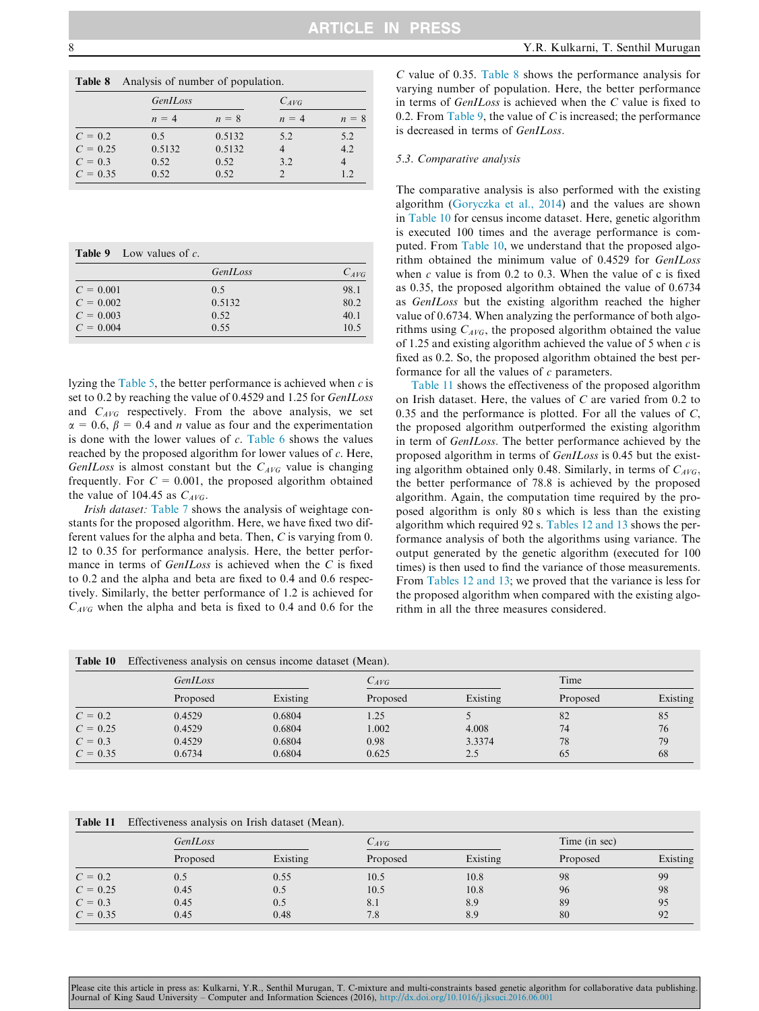|  |  | <b>ARTICLE IN PRESS</b> |  |  |
|--|--|-------------------------|--|--|
|  |  |                         |  |  |

| Table 8<br>Analysis of number of population. |          |         |           |         |  |  |
|----------------------------------------------|----------|---------|-----------|---------|--|--|
|                                              | GenILoss |         | $C_{AVG}$ |         |  |  |
|                                              | $n = 4$  | $n = 8$ | $n = 4$   | $n = 8$ |  |  |
| $C = 0.2$                                    | 0.5      | 0.5132  | 5.2       | 5.2     |  |  |
| $C = 0.25$                                   | 0.5132   | 0.5132  | 4         | 4.2     |  |  |
| $C = 0.3$                                    | 0.52     | 0.52    | 3.2       | 4       |  |  |
| $C = 0.35$                                   | 0.52     | 0.52    | C.        | 12      |  |  |

| <b>Table 9</b> Low values of c. |          |           |
|---------------------------------|----------|-----------|
|                                 | GenILoss | $C_{AVG}$ |
| $C = 0.001$                     | 0.5      | 98.1      |
| $C = 0.002$                     | 0.5132   | 80.2      |
| $C = 0.003$                     | 0.52     | 40.1      |
| $C = 0.004$                     | 0.55     | 10.5      |

lyzing the [Table 5](#page-6-0), the better performance is achieved when  $c$  is set to 0.2 by reaching the value of 0.4529 and 1.25 for GenILoss and  $C_{AVG}$  respectively. From the above analysis, we set  $\alpha = 0.6$ ,  $\beta = 0.4$  and *n* value as four and the experimentation is done with the lower values of  $c$ . [Table 6](#page-6-0) shows the values reached by the proposed algorithm for lower values of  $c$ . Here, GenILoss is almost constant but the  $C_{AVG}$  value is changing frequently. For  $C = 0.001$ , the proposed algorithm obtained the value of 104.45 as  $C_{AVG}$ .

Irish dataset: [Table 7](#page-6-0) shows the analysis of weightage constants for the proposed algorithm. Here, we have fixed two different values for the alpha and beta. Then, C is varying from 0. l2 to 0.35 for performance analysis. Here, the better performance in terms of GenILoss is achieved when the C is fixed to 0.2 and the alpha and beta are fixed to 0.4 and 0.6 respectively. Similarly, the better performance of 1.2 is achieved for  $C_{AVG}$  when the alpha and beta is fixed to 0.4 and 0.6 for the

C value of 0.35. Table 8 shows the performance analysis for varying number of population. Here, the better performance in terms of GenILoss is achieved when the C value is fixed to 0.2. From Table 9, the value of C is increased; the performance is decreased in terms of GenILoss.

#### 5.3. Comparative analysis

The comparative analysis is also performed with the existing algorithm [\(Goryczka et al., 2014](#page-8-0)) and the values are shown in Table 10 for census income dataset. Here, genetic algorithm is executed 100 times and the average performance is computed. From Table 10, we understand that the proposed algorithm obtained the minimum value of 0.4529 for *GenILoss* when  $c$  value is from 0.2 to 0.3. When the value of c is fixed as 0.35, the proposed algorithm obtained the value of 0.6734 as GenILoss but the existing algorithm reached the higher value of 0.6734. When analyzing the performance of both algorithms using  $C_{AVG}$ , the proposed algorithm obtained the value of 1.25 and existing algorithm achieved the value of 5 when  $c$  is fixed as 0.2. So, the proposed algorithm obtained the best performance for all the values of c parameters.

Table 11 shows the effectiveness of the proposed algorithm on Irish dataset. Here, the values of C are varied from 0.2 to 0.35 and the performance is plotted. For all the values of C, the proposed algorithm outperformed the existing algorithm in term of GenILoss: The better performance achieved by the proposed algorithm in terms of GenILoss is 0.45 but the existing algorithm obtained only 0.48. Similarly, in terms of  $C_{AVG}$ , the better performance of 78.8 is achieved by the proposed algorithm. Again, the computation time required by the proposed algorithm is only 80 s which is less than the existing algorithm which required 92 s. [Tables 12 and 13](#page-8-0) shows the performance analysis of both the algorithms using variance. The output generated by the genetic algorithm (executed for 100 times) is then used to find the variance of those measurements. From [Tables 12 and 13](#page-8-0); we proved that the variance is less for the proposed algorithm when compared with the existing algorithm in all the three measures considered.

| GenILoss |          | $C_{AVG}$ |                                                         |          | Time     |  |
|----------|----------|-----------|---------------------------------------------------------|----------|----------|--|
| Proposed | Existing | Proposed  | Existing                                                | Proposed | Existing |  |
| 0.4529   | 0.6804   | 1.25      |                                                         | 82       | 85       |  |
| 0.4529   | 0.6804   | 1.002     | 4.008                                                   | 74       | 76       |  |
| 0.4529   | 0.6804   | 0.98      | 3.3374                                                  | 78       | 79       |  |
| 0.6734   | 0.6804   | 0.625     | 2.5                                                     | 65       | 68       |  |
|          |          |           | Effectiveness analysis on census income dataset (Mean). |          |          |  |

| Table 11<br>Effectiveness analysis on Irish dataset (Mean). |  |  |  |  |
|-------------------------------------------------------------|--|--|--|--|
|-------------------------------------------------------------|--|--|--|--|

|            | GenILoss |          | $C_{AVG}$ |          | Time (in sec) |          |
|------------|----------|----------|-----------|----------|---------------|----------|
|            | Proposed | Existing | Proposed  | Existing | Proposed      | Existing |
| $C = 0.2$  | 0.5      | 0.55     | 10.5      | 10.8     | 98            | 99       |
| $C = 0.25$ | 0.45     | 0.5      | 10.5      | 10.8     | 96            | 98       |
| $C = 0.3$  | 0.45     | 0.5      | 8.1       | 8.9      | 89            | 95       |
| $C = 0.35$ | 0.45     | 0.48     | 7.8       | 8.9      | 80            | 92       |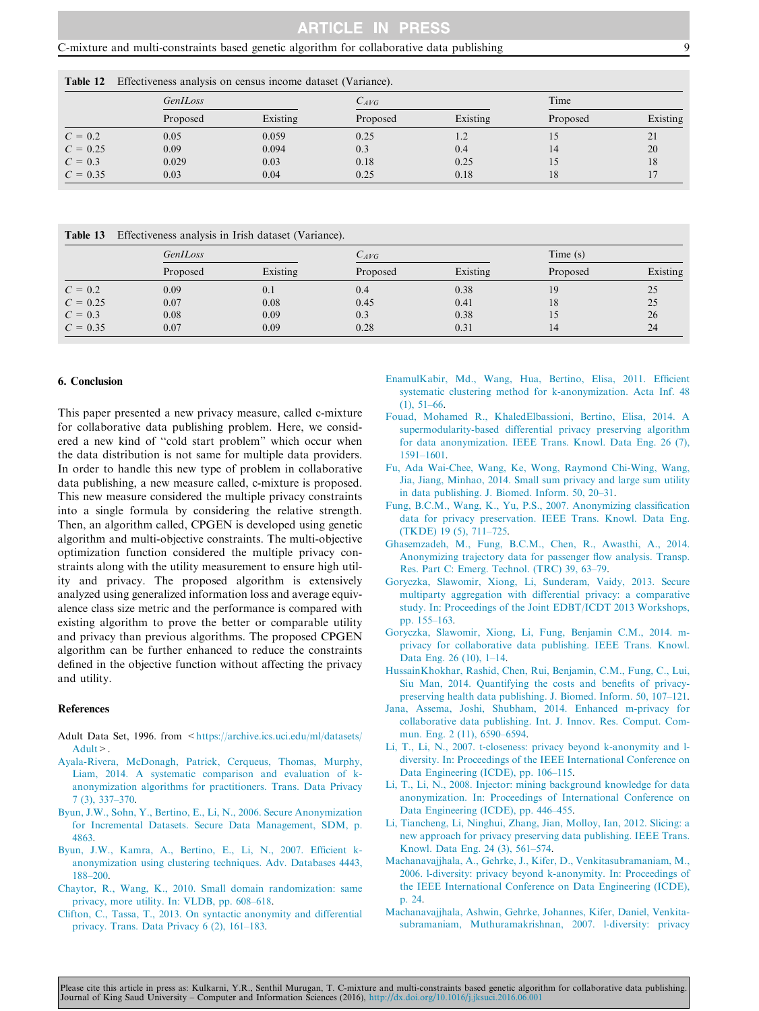## <span id="page-8-0"></span>C-mixture and multi-constraints based genetic algorithm for collaborative data publishing 9

|  | <b>Table 12</b> Effectiveness analysis on census income dataset (Variance). |  |
|--|-----------------------------------------------------------------------------|--|
|  |                                                                             |  |

|            | GenILoss |          | $C_{AVG}$ |             | Time     |          |
|------------|----------|----------|-----------|-------------|----------|----------|
|            | Proposed | Existing | Proposed  | Existing    | Proposed | Existing |
| $C = 0.2$  | 0.05     | 0.059    | 0.25      | $1 \cdot 2$ |          | 21       |
| $C = 0.25$ | 0.09     | 0.094    | 0.3       | 0.4         | 14       | 20       |
| $C = 0.3$  | 0.029    | 0.03     | 0.18      | 0.25        |          | 18       |
| $C = 0.35$ | 0.03     | 0.04     | 0.25      | 0.18        | 18       |          |

| Table 13 | Effectiveness analysis in Irish dataset (Variance). |  |  |  |  |
|----------|-----------------------------------------------------|--|--|--|--|
|----------|-----------------------------------------------------|--|--|--|--|

|            | GenILoss |          | $C_{AVG}$ |          | Time(s)  |          |
|------------|----------|----------|-----------|----------|----------|----------|
|            | Proposed | Existing | Proposed  | Existing | Proposed | Existing |
| $C = 0.2$  | 0.09     | 0.1      | 0.4       | 0.38     | 19       | 25       |
| $C = 0.25$ | 0.07     | 0.08     | 0.45      | 0.41     | 18       | 25       |
| $C = 0.3$  | 0.08     | 0.09     | 0.3       | 0.38     |          | 26       |
| $C = 0.35$ | 0.07     | 0.09     | 0.28      | 0.31     | 14       | 24       |

### 6. Conclusion

This paper presented a new privacy measure, called c-mixture for collaborative data publishing problem. Here, we considered a new kind of ''cold start problem" which occur when the data distribution is not same for multiple data providers. In order to handle this new type of problem in collaborative data publishing, a new measure called, c-mixture is proposed. This new measure considered the multiple privacy constraints into a single formula by considering the relative strength. Then, an algorithm called, CPGEN is developed using genetic algorithm and multi-objective constraints. The multi-objective optimization function considered the multiple privacy constraints along with the utility measurement to ensure high utility and privacy. The proposed algorithm is extensively analyzed using generalized information loss and average equivalence class size metric and the performance is compared with existing algorithm to prove the better or comparable utility and privacy than previous algorithms. The proposed CPGEN algorithm can be further enhanced to reduce the constraints defined in the objective function without affecting the privacy and utility.

### References

- Adult Data Set, 1996. from [<https://archive.ics.uci.edu/ml/datasets/](https://archive.ics.uci.edu/ml/datasets/Adult) [Adult>](https://archive.ics.uci.edu/ml/datasets/Adult).
- [Ayala-Rivera, McDonagh, Patrick, Cerqueus, Thomas, Murphy,](http://refhub.elsevier.com/S1319-1578(16)30028-3/h0010) [Liam, 2014. A systematic comparison and evaluation of k](http://refhub.elsevier.com/S1319-1578(16)30028-3/h0010)[anonymization algorithms for practitioners. Trans. Data Privacy](http://refhub.elsevier.com/S1319-1578(16)30028-3/h0010) [7 \(3\), 337–370](http://refhub.elsevier.com/S1319-1578(16)30028-3/h0010).
- [Byun, J.W., Sohn, Y., Bertino, E., Li, N., 2006. Secure Anonymization](http://refhub.elsevier.com/S1319-1578(16)30028-3/h0015) [for Incremental Datasets. Secure Data Management, SDM, p.](http://refhub.elsevier.com/S1319-1578(16)30028-3/h0015) [4863.](http://refhub.elsevier.com/S1319-1578(16)30028-3/h0015)
- [Byun, J.W., Kamra, A., Bertino, E., Li, N., 2007. Efficient k](http://refhub.elsevier.com/S1319-1578(16)30028-3/h0020)[anonymization using clustering techniques. Adv. Databases 4443,](http://refhub.elsevier.com/S1319-1578(16)30028-3/h0020) [188–200.](http://refhub.elsevier.com/S1319-1578(16)30028-3/h0020)
- [Chaytor, R., Wang, K., 2010. Small domain randomization: same](http://refhub.elsevier.com/S1319-1578(16)30028-3/h0025) [privacy, more utility. In: VLDB, pp. 608–618.](http://refhub.elsevier.com/S1319-1578(16)30028-3/h0025)
- [Clifton, C., Tassa, T., 2013. On syntactic anonymity and differential](http://refhub.elsevier.com/S1319-1578(16)30028-3/h0030) [privacy. Trans. Data Privacy 6 \(2\), 161–183.](http://refhub.elsevier.com/S1319-1578(16)30028-3/h0030)
- [EnamulKabir, Md., Wang, Hua, Bertino, Elisa, 2011. Efficient](http://refhub.elsevier.com/S1319-1578(16)30028-3/h0035) [systematic clustering method for k-anonymization. Acta Inf. 48](http://refhub.elsevier.com/S1319-1578(16)30028-3/h0035) [\(1\), 51–66.](http://refhub.elsevier.com/S1319-1578(16)30028-3/h0035)
- [Fouad, Mohamed R., KhaledElbassioni, Bertino, Elisa, 2014. A](http://refhub.elsevier.com/S1319-1578(16)30028-3/h0040) [supermodularity-based differential privacy preserving algorithm](http://refhub.elsevier.com/S1319-1578(16)30028-3/h0040) [for data anonymization. IEEE Trans. Knowl. Data Eng. 26 \(7\),](http://refhub.elsevier.com/S1319-1578(16)30028-3/h0040) [1591–1601.](http://refhub.elsevier.com/S1319-1578(16)30028-3/h0040)
- [Fu, Ada Wai-Chee, Wang, Ke, Wong, Raymond Chi-Wing, Wang,](http://refhub.elsevier.com/S1319-1578(16)30028-3/h0045) [Jia, Jiang, Minhao, 2014. Small sum privacy and large sum utility](http://refhub.elsevier.com/S1319-1578(16)30028-3/h0045) [in data publishing. J. Biomed. Inform. 50, 20–31.](http://refhub.elsevier.com/S1319-1578(16)30028-3/h0045)
- [Fung, B.C.M., Wang, K., Yu, P.S., 2007. Anonymizing classification](http://refhub.elsevier.com/S1319-1578(16)30028-3/h0050) [data for privacy preservation. IEEE Trans. Knowl. Data Eng.](http://refhub.elsevier.com/S1319-1578(16)30028-3/h0050) [\(TKDE\) 19 \(5\), 711–725.](http://refhub.elsevier.com/S1319-1578(16)30028-3/h0050)
- [Ghasemzadeh, M., Fung, B.C.M., Chen, R., Awasthi, A., 2014.](http://refhub.elsevier.com/S1319-1578(16)30028-3/h0055) [Anonymizing trajectory data for passenger flow analysis. Transp.](http://refhub.elsevier.com/S1319-1578(16)30028-3/h0055) [Res. Part C: Emerg. Technol. \(TRC\) 39, 63–79](http://refhub.elsevier.com/S1319-1578(16)30028-3/h0055).
- [Goryczka, Slawomir, Xiong, Li, Sunderam, Vaidy, 2013. Secure](http://refhub.elsevier.com/S1319-1578(16)30028-3/h0060) [multiparty aggregation with differential privacy: a comparative](http://refhub.elsevier.com/S1319-1578(16)30028-3/h0060) [study. In: Proceedings of the Joint EDBT/ICDT 2013 Workshops,](http://refhub.elsevier.com/S1319-1578(16)30028-3/h0060) [pp. 155–163](http://refhub.elsevier.com/S1319-1578(16)30028-3/h0060).
- [Goryczka, Slawomir, Xiong, Li, Fung, Benjamin C.M., 2014. m](http://refhub.elsevier.com/S1319-1578(16)30028-3/h0065)[privacy for collaborative data publishing. IEEE Trans. Knowl.](http://refhub.elsevier.com/S1319-1578(16)30028-3/h0065) [Data Eng. 26 \(10\), 1–14.](http://refhub.elsevier.com/S1319-1578(16)30028-3/h0065)
- [HussainKhokhar, Rashid, Chen, Rui, Benjamin, C.M., Fung, C., Lui,](http://refhub.elsevier.com/S1319-1578(16)30028-3/h0070) [Siu Man, 2014. Quantifying the costs and benefits of privacy](http://refhub.elsevier.com/S1319-1578(16)30028-3/h0070)[preserving health data publishing. J. Biomed. Inform. 50, 107–121](http://refhub.elsevier.com/S1319-1578(16)30028-3/h0070).
- [Jana, Assema, Joshi, Shubham, 2014. Enhanced m-privacy for](http://refhub.elsevier.com/S1319-1578(16)30028-3/h0075) [collaborative data publishing. Int. J. Innov. Res. Comput. Com](http://refhub.elsevier.com/S1319-1578(16)30028-3/h0075)[mun. Eng. 2 \(11\), 6590–6594.](http://refhub.elsevier.com/S1319-1578(16)30028-3/h0075)
- [Li, T., Li, N., 2007. t-closeness: privacy beyond k-anonymity and l](http://refhub.elsevier.com/S1319-1578(16)30028-3/h0080)[diversity. In: Proceedings of the IEEE International Conference on](http://refhub.elsevier.com/S1319-1578(16)30028-3/h0080) [Data Engineering \(ICDE\), pp. 106–115](http://refhub.elsevier.com/S1319-1578(16)30028-3/h0080).
- [Li, T., Li, N., 2008. Injector: mining background knowledge for data](http://refhub.elsevier.com/S1319-1578(16)30028-3/h0085) [anonymization. In: Proceedings of International Conference on](http://refhub.elsevier.com/S1319-1578(16)30028-3/h0085) [Data Engineering \(ICDE\), pp. 446–455](http://refhub.elsevier.com/S1319-1578(16)30028-3/h0085).
- [Li, Tiancheng, Li, Ninghui, Zhang, Jian, Molloy, Ian, 2012. Slicing: a](http://refhub.elsevier.com/S1319-1578(16)30028-3/h0090) [new approach for privacy preserving data publishing. IEEE Trans.](http://refhub.elsevier.com/S1319-1578(16)30028-3/h0090) [Knowl. Data Eng. 24 \(3\), 561–574.](http://refhub.elsevier.com/S1319-1578(16)30028-3/h0090)
- [Machanavajjhala, A., Gehrke, J., Kifer, D., Venkitasubramaniam, M.,](http://refhub.elsevier.com/S1319-1578(16)30028-3/h0095) [2006. l-diversity: privacy beyond k-anonymity. In: Proceedings of](http://refhub.elsevier.com/S1319-1578(16)30028-3/h0095) [the IEEE International Conference on Data Engineering \(ICDE\),](http://refhub.elsevier.com/S1319-1578(16)30028-3/h0095) [p. 24](http://refhub.elsevier.com/S1319-1578(16)30028-3/h0095).
- [Machanavajjhala, Ashwin, Gehrke, Johannes, Kifer, Daniel, Venkita](http://refhub.elsevier.com/S1319-1578(16)30028-3/h0100)[subramaniam, Muthuramakrishnan, 2007. l-diversity: privacy](http://refhub.elsevier.com/S1319-1578(16)30028-3/h0100)